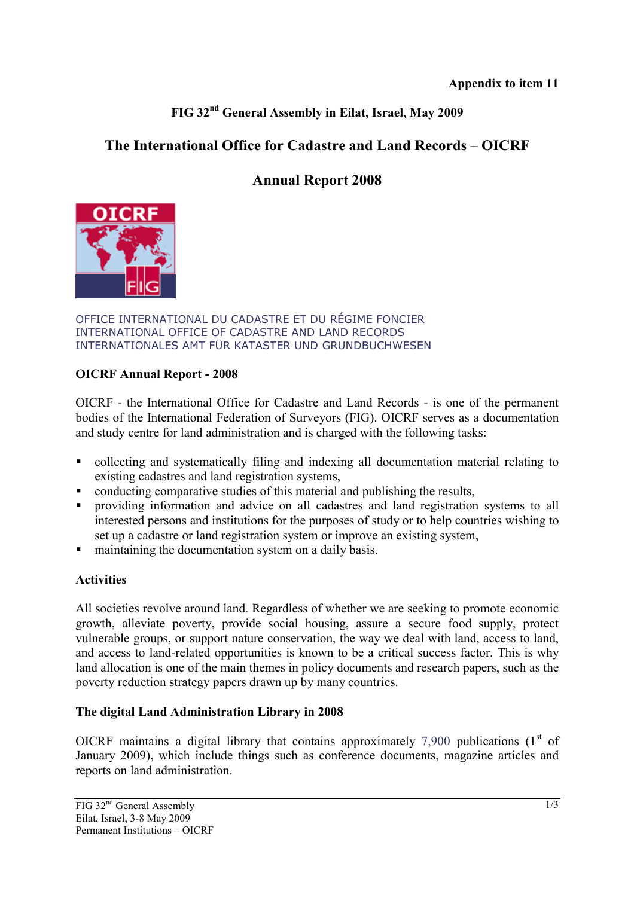## **FIG 32nd General Assembly in Eilat, Israel, May 2009**

## **The International Office for Cadastre and Land Records – OICRF**

# **Annual Report 2008**



OFFICE INTERNATIONAL DU CADASTRE ET DU RÉGIME FONCIER INTERNATIONAL OFFICE OF CADASTRE AND LAND RECORDS INTERNATIONALES AMT FÜR KATASTER UND GRUNDBUCHWESEN

#### **OICRF Annual Report - 2008**

OICRF - the International Office for Cadastre and Land Records - is one of the permanent bodies of the International Federation of Surveyors (FIG). OICRF serves as a documentation and study centre for land administration and is charged with the following tasks:

- collecting and systematically filing and indexing all documentation material relating to existing cadastres and land registration systems,
- conducting comparative studies of this material and publishing the results,
- providing information and advice on all cadastres and land registration systems to all interested persons and institutions for the purposes of study or to help countries wishing to set up a cadastre or land registration system or improve an existing system,
- maintaining the documentation system on a daily basis.

### **Activities**

All societies revolve around land. Regardless of whether we are seeking to promote economic growth, alleviate poverty, provide social housing, assure a secure food supply, protect vulnerable groups, or support nature conservation, the way we deal with land, access to land, and access to land-related opportunities is known to be a critical success factor. This is why land allocation is one of the main themes in policy documents and research papers, such as the poverty reduction strategy papers drawn up by many countries.

### **The digital Land Administration Library in 2008**

OICRF maintains a digital library that contains approximately  $7.900$  publications  $(1<sup>st</sup>$  of January 2009), which include things such as conference documents, magazine articles and reports on land administration.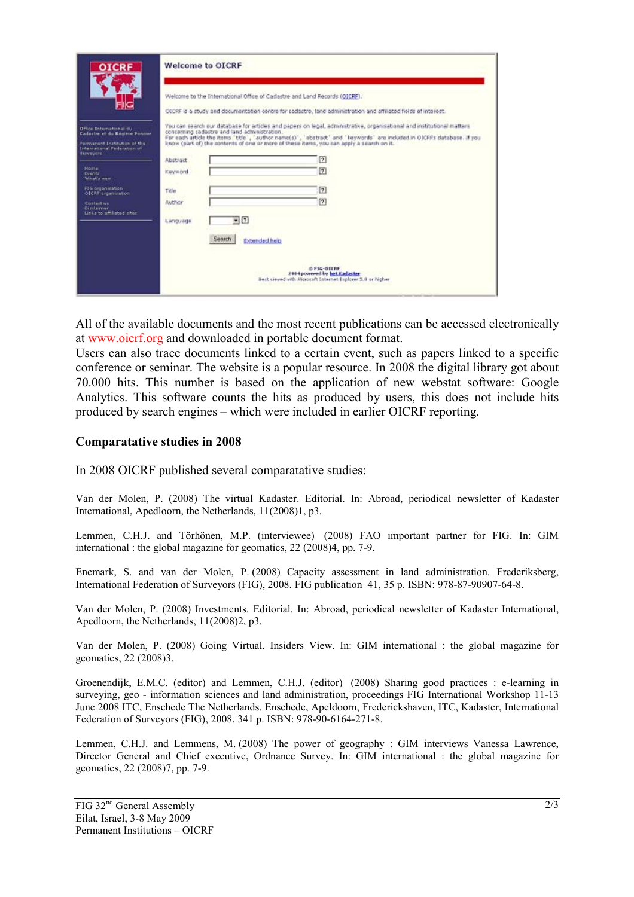| <b>TCRF</b>                                                                             | <b>Welcome to OICRF</b>                                                                                                                                                                                             |
|-----------------------------------------------------------------------------------------|---------------------------------------------------------------------------------------------------------------------------------------------------------------------------------------------------------------------|
|                                                                                         | Welcome to the International Office of Cadastre and Land Records (OICRF).<br>OECRF is a study and documentation centre for cadastre, land administration and affiliated fields of interest.                         |
| Office Schemational du<br>Eastactes et du Répieux Forcase                               | You can search our database for articles and papers on legal, administrative, organisational and institutional matters<br>concerning cadastre and land administration.                                              |
| Permanent Institution of the<br><b>International Federation of</b><br><b>Biannipons</b> | For each article the items "title", "author name(s)", "abstract" and "keywords" are included in OICRFs database. If you<br>know (part of) the contents of one or more of these items, you can apply a search on it. |
|                                                                                         | 团<br>Abstract                                                                                                                                                                                                       |
| <b>Monroe</b><br>Eventz<br>What's new                                                   | $\sqrt{7}$<br>Keyword                                                                                                                                                                                               |
| F35 organization<br>OICRE organization                                                  | $\boxed{2}$<br>Title                                                                                                                                                                                                |
| Contact us<br>Direta mar.<br>Links to attituted star                                    | 团<br><b>Author</b>                                                                                                                                                                                                  |
|                                                                                         | $-2$<br>Language                                                                                                                                                                                                    |
|                                                                                         | Search.<br><b>Extended help</b>                                                                                                                                                                                     |
|                                                                                         | <b>OFIG-OUTRE</b>                                                                                                                                                                                                   |
|                                                                                         | 2004 powered by het Kadaster<br>Best sieued with Microsoft Internet Explorer 5.9 or higher                                                                                                                          |
|                                                                                         |                                                                                                                                                                                                                     |

All of the available documents and the most recent publications can be accessed electronically at www.oicrf.org and downloaded in portable document format.

Users can also trace documents linked to a certain event, such as papers linked to a specific conference or seminar. The website is a popular resource. In 2008 the digital library got about 70.000 hits. This number is based on the application of new webstat software: Google Analytics. This software counts the hits as produced by users, this does not include hits produced by search engines – which were included in earlier OICRF reporting.

#### **Comparatative studies in 2008**

In 2008 OICRF published several comparatative studies:

Van der Molen, P. (2008) The virtual Kadaster. Editorial. In: Abroad, periodical newsletter of Kadaster International, Apedloorn, the Netherlands, 11(2008)1, p3.

Lemmen, C.H.J. and Törhönen, M.P. (interviewee) (2008) FAO important partner for FIG. In: GIM international : the global magazine for geomatics, 22 (2008)4, pp. 7-9.

Enemark, S. and van der Molen, P. (2008) Capacity assessment in land administration. Frederiksberg, International Federation of Surveyors (FIG), 2008. FIG publication 41, 35 p. ISBN: 978-87-90907-64-8.

Van der Molen, P. (2008) Investments. Editorial. In: Abroad, periodical newsletter of Kadaster International, Apedloorn, the Netherlands, 11(2008)2, p3.

Van der Molen, P. (2008) Going Virtual. Insiders View. In: GIM international : the global magazine for geomatics, 22 (2008)3.

Groenendijk, E.M.C. (editor) and Lemmen, C.H.J. (editor) (2008) Sharing good practices : e-learning in surveying, geo - information sciences and land administration, proceedings FIG International Workshop 11-13 June 2008 ITC, Enschede The Netherlands. Enschede, Apeldoorn, Frederickshaven, ITC, Kadaster, International Federation of Surveyors (FIG), 2008. 341 p. ISBN: 978-90-6164-271-8.

Lemmen, C.H.J. and Lemmens, M. (2008) The power of geography : GIM interviews Vanessa Lawrence, Director General and Chief executive, Ordnance Survey. In: GIM international : the global magazine for geomatics, 22 (2008)7, pp. 7-9.